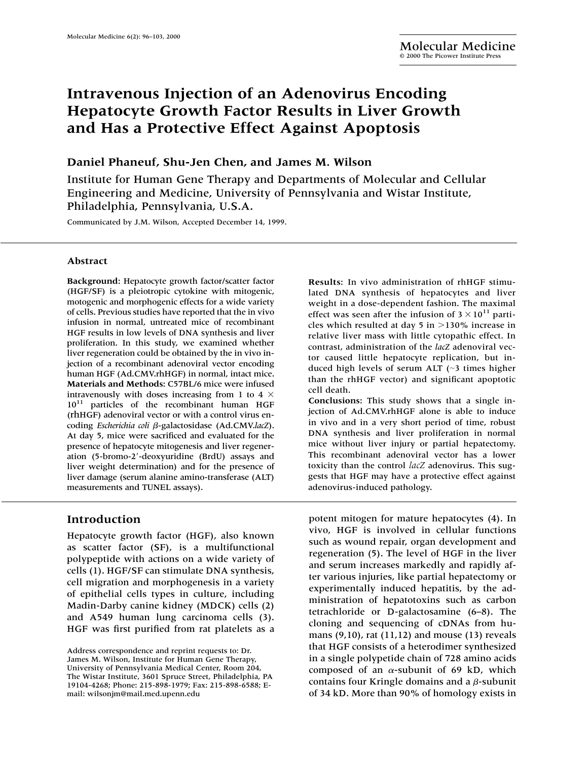# **Intravenous Injection of an Adenovirus Encoding Hepatocyte Growth Factor Results in Liver Growth and Has a Protective Effect Against Apoptosis**

## **Daniel Phaneuf, Shu-Jen Chen, and James M. Wilson**

Institute for Human Gene Therapy and Departments of Molecular and Cellular Engineering and Medicine, University of Pennsylvania and Wistar Institute, Philadelphia, Pennsylvania, U.S.A.

Communicated by J.M. Wilson, Accepted December 14, 1999.

#### **Abstract**

**Background:** Hepatocyte growth factor/scatter factor (HGF/SF) is a pleiotropic cytokine with mitogenic, motogenic and morphogenic effects for a wide variety of cells. Previous studies have reported that the in vivo infusion in normal, untreated mice of recombinant HGF results in low levels of DNA synthesis and liver proliferation. In this study, we examined whether liver regeneration could be obtained by the in vivo injection of a recombinant adenoviral vector encoding human HGF (Ad.CMV.rhHGF) in normal, intact mice. **Materials and Methods:** C57BL/6 mice were infused intravenously with doses increasing from 1 to 4  $\times$  $10^{11}$  particles of the recombinant human HGF (rhHGF) adenoviral vector or with a control virus encoding *Escherichia coli* β-galactosidase (Ad.CMV.*lacZ*). At day 5, mice were sacrificed and evaluated for the presence of hepatocyte mitogenesis and liver regeneration (5-bromo-2-deoxyuridine (BrdU) assays and liver weight determination) and for the presence of liver damage (serum alanine amino-transferase (ALT) measurements and TUNEL assays).

# **Introduction**

Hepatocyte growth factor (HGF), also known as scatter factor (SF), is a multifunctional polypeptide with actions on a wide variety of cells (1). HGF/SF can stimulate DNA synthesis, cell migration and morphogenesis in a variety of epithelial cells types in culture, including Madin-Darby canine kidney (MDCK) cells (2) and A549 human lung carcinoma cells (3). HGF was first purified from rat platelets as a **Results:** In vivo administration of rhHGF stimulated DNA synthesis of hepatocytes and liver weight in a dose-dependent fashion. The maximal effect was seen after the infusion of  $3 \times 10^{11}$  particles which resulted at day 5 in  $>$ 130% increase in relative liver mass with little cytopathic effect. In contrast, administration of the *lacZ* adenoviral vector caused little hepatocyte replication, but induced high levels of serum ALT ( $\sim$ 3 times higher than the rhHGF vector) and significant apoptotic cell death.

**Conclusions:** This study shows that a single injection of Ad.CMV.rhHGF alone is able to induce in vivo and in a very short period of time, robust DNA synthesis and liver proliferation in normal mice without liver injury or partial hepatectomy. This recombinant adenoviral vector has a lower toxicity than the control *lacZ* adenovirus. This suggests that HGF may have a protective effect against adenovirus-induced pathology.

potent mitogen for mature hepatocytes (4). In vivo, HGF is involved in cellular functions such as wound repair, organ development and regeneration (5). The level of HGF in the liver and serum increases markedly and rapidly after various injuries, like partial hepatectomy or experimentally induced hepatitis, by the administration of hepatotoxins such as carbon tetrachloride or D-galactosamine (6–8). The cloning and sequencing of cDNAs from humans (9,10), rat (11,12) and mouse (13) reveals that HGF consists of a heterodimer synthesized in a single polypetide chain of 728 amino acids composed of an  $\alpha$ -subunit of 69 kD, which contains four Kringle domains and a  $\beta$ -subunit of 34 kD. More than 90% of homology exists in

Address correspondence and reprint requests to: Dr. James M. Wilson, Institute for Human Gene Therapy, University of Pennsylvania Medical Center, Room 204, The Wistar Institute, 3601 Spruce Street, Philadelphia, PA 19104-4268; Phone: 215-898-1979; Fax: 215-898-6588; Email: wilsonjm@mail.med.upenn.edu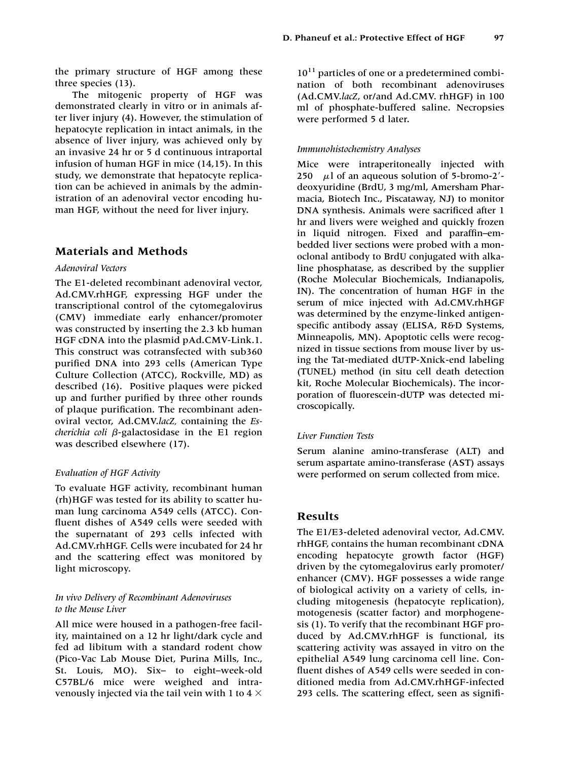the primary structure of HGF among these three species (13).

The mitogenic property of HGF was demonstrated clearly in vitro or in animals after liver injury (4). However, the stimulation of hepatocyte replication in intact animals, in the absence of liver injury, was achieved only by an invasive 24 hr or 5 d continuous intraportal infusion of human HGF in mice (14,15). In this study, we demonstrate that hepatocyte replication can be achieved in animals by the administration of an adenoviral vector encoding human HGF, without the need for liver injury.

## **Materials and Methods**

#### *Adenoviral Vectors*

The E1-deleted recombinant adenoviral vector, Ad.CMV.rhHGF, expressing HGF under the transcriptional control of the cytomegalovirus (CMV) immediate early enhancer/promoter was constructed by inserting the 2.3 kb human HGF cDNA into the plasmid pAd.CMV-Link.1. This construct was cotransfected with sub360 purified DNA into 293 cells (American Type Culture Collection (ATCC), Rockville, MD) as described (16). Positive plaques were picked up and further purified by three other rounds of plaque purification. The recombinant adenoviral vector, Ad.CMV.*lacZ,* containing the *Es-* $$ was described elsewhere (17).

#### *Evaluation of HGF Activity*

To evaluate HGF activity, recombinant human (rh)HGF was tested for its ability to scatter human lung carcinoma A549 cells (ATCC). Confluent dishes of A549 cells were seeded with the supernatant of 293 cells infected with Ad.CMV.rhHGF. Cells were incubated for 24 hr and the scattering effect was monitored by light microscopy.

### *In vivo Delivery of Recombinant Adenoviruses to the Mouse Liver*

All mice were housed in a pathogen-free facility, maintained on a 12 hr light/dark cycle and fed ad libitum with a standard rodent chow (Pico-Vac Lab Mouse Diet, Purina Mills, Inc., St. Louis, MO). Six– to eight–week-old C57BL/6 mice were weighed and intravenously injected via the tail vein with 1 to 4  $\times$ 

 $10^{11}$  particles of one or a predetermined combination of both recombinant adenoviruses (Ad.CMV.*lacZ*, or/and Ad.CMV. rhHGF) in 100 ml of phosphate-buffered saline. Necropsies were performed 5 d later.

#### *Immunohistochemistry Analyses*

Mice were intraperitoneally injected with 250  $\mu$ l of an aqueous solution of 5-bromo-2<sup>'</sup>deoxyuridine (BrdU, 3 mg/ml, Amersham Pharmacia, Biotech Inc., Piscataway, NJ) to monitor DNA synthesis. Animals were sacrificed after 1 hr and livers were weighed and quickly frozen in liquid nitrogen. Fixed and paraffin–embedded liver sections were probed with a monoclonal antibody to BrdU conjugated with alkaline phosphatase, as described by the supplier (Roche Molecular Biochemicals, Indianapolis, IN). The concentration of human HGF in the serum of mice injected with Ad.CMV.rhHGF was determined by the enzyme-linked antigenspecific antibody assay (ELISA, R&D Systems, Minneapolis, MN). Apoptotic cells were recognized in tissue sections from mouse liver by using the Tat-mediated dUTP-Xnick-end labeling (TUNEL) method (in situ cell death detection kit, Roche Molecular Biochemicals). The incorporation of fluorescein-dUTP was detected microscopically.

#### *Liver Function Tests*

Serum alanine amino-transferase (ALT) and serum aspartate amino-transferase (AST) assays were performed on serum collected from mice.

# **Results**

The E1/E3-deleted adenoviral vector, Ad.CMV. rhHGF, contains the human recombinant cDNA encoding hepatocyte growth factor (HGF) driven by the cytomegalovirus early promoter/ enhancer (CMV). HGF possesses a wide range of biological activity on a variety of cells, including mitogenesis (hepatocyte replication), motogenesis (scatter factor) and morphogenesis (1). To verify that the recombinant HGF produced by Ad.CMV.rhHGF is functional, its scattering activity was assayed in vitro on the epithelial A549 lung carcinoma cell line. Confluent dishes of A549 cells were seeded in conditioned media from Ad.CMV.rhHGF-infected 293 cells. The scattering effect, seen as signifi-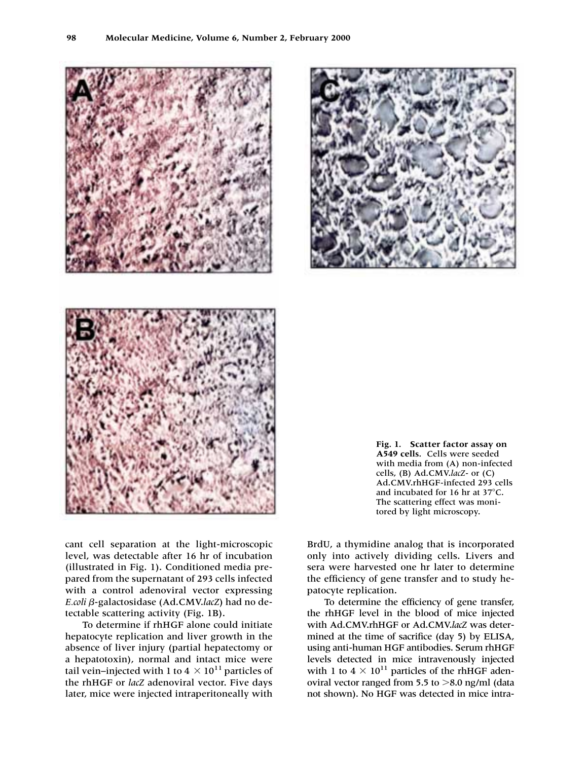cant cell separation at the light-microscopic level, was detectable after 16 hr of incubation (illustrated in Fig. 1). Conditioned media prepared from the supernatant of 293 cells infected with a control adenoviral vector expressing *E.coli* β-galactosidase (Ad.CMV.lacZ) had no detectable scattering activity (Fig. 1B).

To determine if rhHGF alone could initiate hepatocyte replication and liver growth in the absence of liver injury (partial hepatectomy or a hepatotoxin), normal and intact mice were tail vein–injected with 1 to 4  $\times$  10<sup>11</sup> particles of the rhHGF or *lacZ* adenoviral vector. Five days later, mice were injected intraperitoneally with **A549 cells.** Cells were seeded cells, (B) Ad.CMV.*lacZ*- or (C) and incubated for 16 hr at  $37^{\circ}$ C. The scattering effect was monitored by light microscopy.

**Fig. 1. Scatter factor assay on**

with media from (A) non-infected Ad.CMV.rhHGF-infected 293 cells

BrdU, a thymidine analog that is incorporated only into actively dividing cells. Livers and sera were harvested one hr later to determine the efficiency of gene transfer and to study he-

To determine the efficiency of gene transfer, the rhHGF level in the blood of mice injected with Ad.CMV.rhHGF or Ad.CMV.*lacZ* was determined at the time of sacrifice (day 5) by ELISA, using anti-human HGF antibodies. Serum rhHGF levels detected in mice intravenously injected with 1 to  $4 \times 10^{11}$  particles of the rhHGF adenoviral vector ranged from 5.5 to  $>8.0$  ng/ml (data not shown). No HGF was detected in mice intra-

patocyte replication.

**98 Molecular Medicine, Volume 6, Number 2, February 2000**



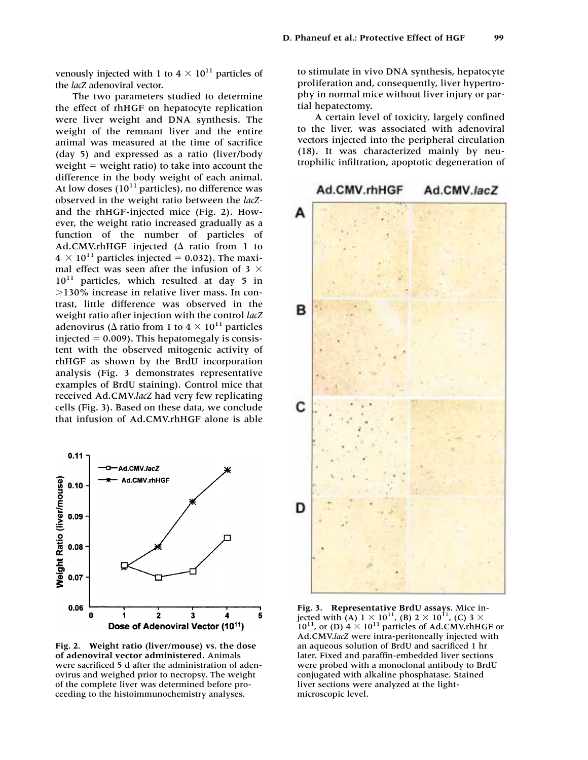venously injected with 1 to  $4 \times 10^{11}$  particles of the *lacZ* adenoviral vector.

The two parameters studied to determine the effect of rhHGF on hepatocyte replication were liver weight and DNA synthesis. The weight of the remnant liver and the entire animal was measured at the time of sacrifice (day 5) and expressed as a ratio (liver/body weight  $=$  weight ratio) to take into account the difference in the body weight of each animal. At low doses  $(10^{11}$  particles), no difference was observed in the weight ratio between the *lacZ*and the rhHGF-injected mice (Fig. 2). However, the weight ratio increased gradually as a function of the number of particles of Ad.CMV.rhHGF injected ( $\Delta$  ratio from 1 to  $4 \times 10^{11}$  particles injected = 0.032). The maximal effect was seen after the infusion of 3  $\times$  $10^{11}$  particles, which resulted at day 5 in 130% increase in relative liver mass. In contrast, little difference was observed in the weight ratio after injection with the control *lacZ* adenovirus ( $\Delta$  ratio from 1 to 4  $\times$  10<sup>11</sup> particles injected  $= 0.009$ ). This hepatomegaly is consistent with the observed mitogenic activity of rhHGF as shown by the BrdU incorporation analysis (Fig. 3 demonstrates representative examples of BrdU staining). Control mice that received Ad.CMV.*lacZ* had very few replicating cells (Fig. 3). Based on these data, we conclude that infusion of Ad.CMV.rhHGF alone is able



**Fig. 2. Weight ratio (liver/mouse) vs. the dose of adenoviral vector administered.** Animals were sacrificed 5 d after the administration of adenovirus and weighed prior to necropsy. The weight of the complete liver was determined before proceeding to the histoimmunochemistry analyses.

to stimulate in vivo DNA synthesis, hepatocyte proliferation and, consequently, liver hypertrophy in normal mice without liver injury or partial hepatectomy.

A certain level of toxicity, largely confined to the liver, was associated with adenoviral vectors injected into the peripheral circulation (18). It was characterized mainly by neutrophilic infiltration, apoptotic degeneration of



**Fig. 3. Representative BrdU assays.** Mice injected with (A) 1  $\times$  10<sup>11</sup>, (B) 2  $\times$  10<sup>11</sup>, (C) 3  $\times$  $10^{11}$ , or (D)  $4 \times 10^{11}$  particles of Ad.CMV.rhHGF or Ad.CMV.*lacZ* were intra-peritoneally injected with an aqueous solution of BrdU and sacrificed 1 hr later. Fixed and paraffin-embedded liver sections were probed with a monoclonal antibody to BrdU conjugated with alkaline phosphatase. Stained liver sections were analyzed at the lightmicroscopic level.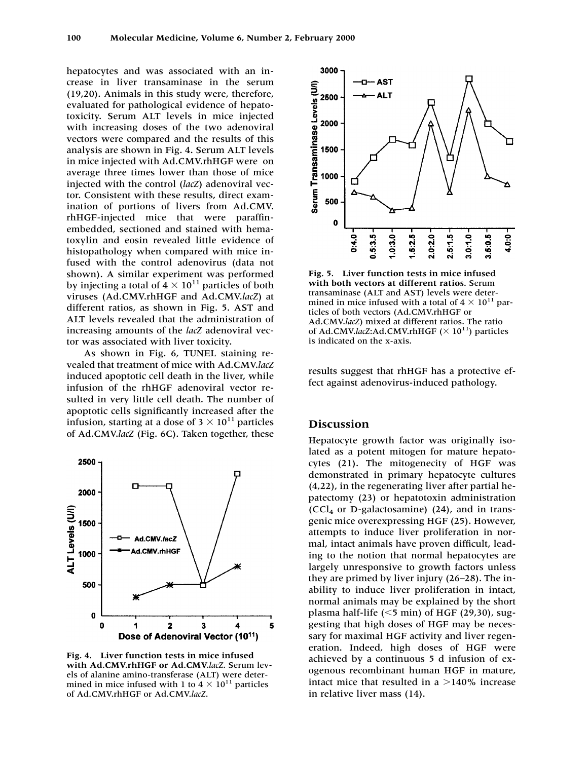hepatocytes and was associated with an increase in liver transaminase in the serum (19,20). Animals in this study were, therefore, evaluated for pathological evidence of hepatotoxicity. Serum ALT levels in mice injected with increasing doses of the two adenoviral vectors were compared and the results of this analysis are shown in Fig. 4. Serum ALT levels in mice injected with Ad.CMV.rhHGF were on average three times lower than those of mice injected with the control (*lacZ*) adenoviral vector. Consistent with these results, direct examination of portions of livers from Ad.CMV. rhHGF-injected mice that were paraffinembedded, sectioned and stained with hematoxylin and eosin revealed little evidence of histopathology when compared with mice infused with the control adenovirus (data not shown). A similar experiment was performed by injecting a total of  $4 \times 10^{11}$  particles of both viruses (Ad.CMV.rhHGF and Ad.CMV.*lacZ*) at different ratios, as shown in Fig. 5. AST and ALT levels revealed that the administration of increasing amounts of the *lacZ* adenoviral vector was associated with liver toxicity.

As shown in Fig. 6, TUNEL staining revealed that treatment of mice with Ad.CMV.*lacZ* induced apoptotic cell death in the liver, while infusion of the rhHGF adenoviral vector resulted in very little cell death. The number of apoptotic cells significantly increased after the infusion, starting at a dose of  $3 \times 10^{11}$  particles of Ad.CMV.*lacZ* (Fig. 6C). Taken together, these



**Fig. 4. Liver function tests in mice infused with Ad.CMV.rhHGF or Ad.CMV.***lacZ*. Serum levels of alanine amino-transferase (ALT) were determined in mice infused with 1 to  $4 \times 10^{11}$  particles of Ad.CMV.rhHGF or Ad.CMV.*lacZ*.



**Fig. 5. Liver function tests in mice infused with both vectors at different ratios.** Serum transaminase (ALT and AST) levels were determined in mice infused with a total of  $4 \times 10^{11}$  particles of both vectors (Ad.CMV.rhHGF or Ad.CMV.*lacZ*) mixed at different ratios. The ratio of Ad.CMV.lacZ:Ad.CMV.rhHGF  $(\times 10^{11})$  particles is indicated on the x-axis.

results suggest that rhHGF has a protective effect against adenovirus-induced pathology.

## **Discussion**

Hepatocyte growth factor was originally isolated as a potent mitogen for mature hepatocytes (21). The mitogenecity of HGF was demonstrated in primary hepatocyte cultures (4,22), in the regenerating liver after partial hepatectomy (23) or hepatotoxin administration  $(CCl<sub>4</sub>$  or D-galactosamine) (24), and in transgenic mice overexpressing HGF (25). However, attempts to induce liver proliferation in normal, intact animals have proven difficult, leading to the notion that normal hepatocytes are largely unresponsive to growth factors unless they are primed by liver injury (26–28). The inability to induce liver proliferation in intact, normal animals may be explained by the short plasma half-life  $(<5$  min) of HGF (29,30), suggesting that high doses of HGF may be necessary for maximal HGF activity and liver regeneration. Indeed, high doses of HGF were achieved by a continuous 5 d infusion of exogenous recombinant human HGF in mature, intact mice that resulted in a  $>$ 140% increase in relative liver mass (14).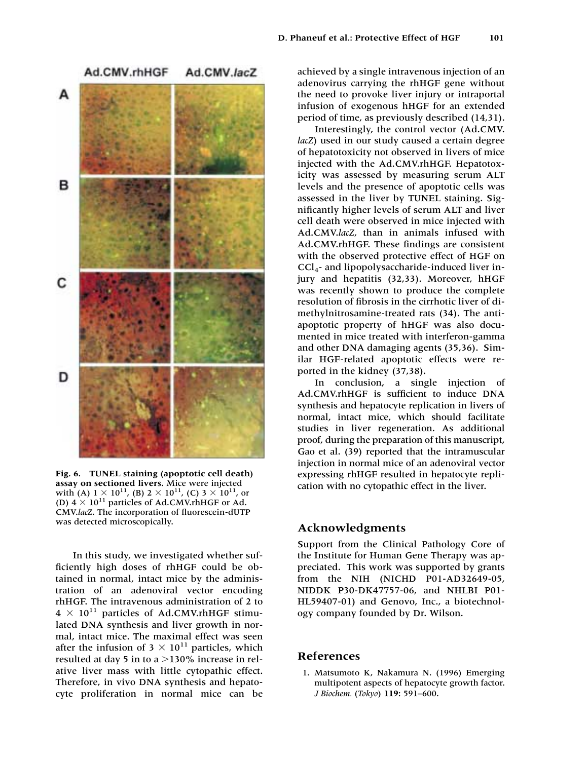

**Fig. 6. TUNEL staining (apoptotic cell death) assay on sectioned livers.** Mice were injected with (A)  $1 \times 10^{11}$ , (B)  $2 \times 10^{11}$ , (C)  $3 \times 10^{11}$ , or (D)  $4 \times 10^{11}$  particles of Ad.CMV.rhHGF or Ad. CMV.*lacZ*. The incorporation of fluorescein-dUTP was detected microscopically.

In this study, we investigated whether sufficiently high doses of rhHGF could be obtained in normal, intact mice by the administration of an adenoviral vector encoding rhHGF. The intravenous administration of 2 to  $4 \times 10^{11}$  particles of Ad.CMV.rhHGF stimulated DNA synthesis and liver growth in normal, intact mice. The maximal effect was seen after the infusion of  $3 \times 10^{11}$  particles, which resulted at day 5 in to a  $>$  130% increase in relative liver mass with little cytopathic effect. Therefore, in vivo DNA synthesis and hepatocyte proliferation in normal mice can be

Interestingly, the control vector (Ad.CMV. *lacZ*) used in our study caused a certain degree of hepatotoxicity not observed in livers of mice injected with the Ad.CMV.rhHGF. Hepatotoxicity was assessed by measuring serum ALT levels and the presence of apoptotic cells was assessed in the liver by TUNEL staining. Significantly higher levels of serum ALT and liver cell death were observed in mice injected with Ad.CMV.*lacZ*, than in animals infused with Ad.CMV.rhHGF. These findings are consistent with the observed protective effect of HGF on CCl4- and lipopolysaccharide-induced liver injury and hepatitis (32,33). Moreover, hHGF was recently shown to produce the complete resolution of fibrosis in the cirrhotic liver of dimethylnitrosamine-treated rats (34). The antiapoptotic property of hHGF was also documented in mice treated with interferon-gamma and other DNA damaging agents (35,36). Similar HGF-related apoptotic effects were reported in the kidney (37,38).

In conclusion, a single injection of Ad.CMV.rhHGF is sufficient to induce DNA synthesis and hepatocyte replication in livers of normal, intact mice, which should facilitate studies in liver regeneration. As additional proof, during the preparation of this manuscript, Gao et al. (39) reported that the intramuscular injection in normal mice of an adenoviral vector expressing rhHGF resulted in hepatocyte replication with no cytopathic effect in the liver.

## **Acknowledgments**

Support from the Clinical Pathology Core of the Institute for Human Gene Therapy was appreciated. This work was supported by grants from the NIH (NICHD P01-AD32649-05, NIDDK P30-DK47757-06, and NHLBI P01- HL59407-01) and Genovo, Inc., a biotechnology company founded by Dr. Wilson.

## **References**

1. Matsumoto K, Nakamura N. (1996) Emerging multipotent aspects of hepatocyte growth factor. *J Biochem.* (*Tokyo*) **119:** 591–600.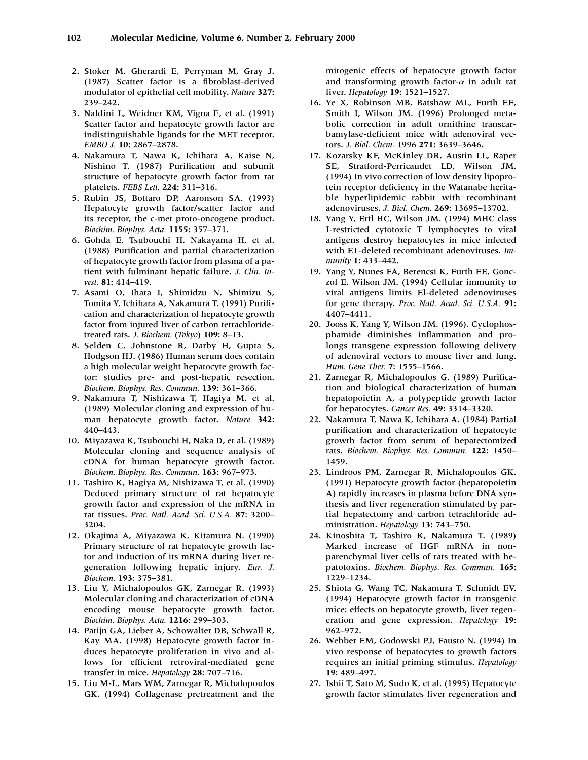- 2. Stoker M, Gherardi E, Perryman M, Gray J. (1987) Scatter factor is a fibroblast-derived modulator of epithelial cell mobility. *Nature* **327:** 239–242.
- 3. Naldini L, Weidner KM, Vigna E, et al. (1991) Scatter factor and hepatocyte growth factor are indistinguishable ligands for the MET receptor. *EMBO J.* **10:** 2867–2878.
- 4. Nakamura T, Nawa K, Ichihara A, Kaise N, Nishino T. (1987) Purification and subunit structure of hepatocyte growth factor from rat platelets. *FEBS Lett.* **224:** 311–316.
- 5. Rubin JS, Bottaro DP, Aaronson SA. (1993) Hepatocyte growth factor/scatter factor and its receptor, the c-met proto-oncogene product. *Biochim. Biophys. Acta.* **1155:** 357–371.
- 6. Gohda E, Tsubouchi H, Nakayama H, et al. (1988) Purification and partial characterization of hepatocyte growth factor from plasma of a patient with fulminant hepatic failure. *J. Clin. Invest.* **81:** 414–419.
- 7. Asami O, Ihara I, Shimidzu N, Shimizu S, Tomita Y, Ichihara A, Nakamura T. (1991) Purification and characterization of hepatocyte growth factor from injured liver of carbon tetrachloridetreated rats. *J. Biochem.* (*Tokyo*) **109:** 8–13.
- 8. Selden C, Johnstone R, Darby H, Gupta S, Hodgson HJ. (1986) Human serum does contain a high molecular weight hepatocyte growth factor: studies pre- and post-hepatic resection. *Biochem. Biophys. Res. Commun.* **139:** 361–366.
- 9. Nakamura T, Nishizawa T, Hagiya M, et al. (1989) Molecular cloning and expression of human hepatocyte growth factor. *Nature* **342:** 440–443.
- 10. Miyazawa K, Tsubouchi H, Naka D, et al. (1989) Molecular cloning and sequence analysis of cDNA for human hepatocyte growth factor. *Biochem. Biophys. Res. Commun.* **163:** 967–973.
- 11. Tashiro K, Hagiya M, Nishizawa T, et al. (1990) Deduced primary structure of rat hepatocyte growth factor and expression of the mRNA in rat tissues. *Proc. Natl. Acad. Sci. U.S.A.* **87:** 3200– 3204.
- 12. Okajima A, Miyazawa K, Kitamura N. (1990) Primary structure of rat hepatocyte growth factor and induction of its mRNA during liver regeneration following hepatic injury. *Eur. J. Biochem.* **193:** 375–381.
- 13. Liu Y, Michalopoulos GK, Zarnegar R. (1993) Molecular cloning and characterization of cDNA encoding mouse hepatocyte growth factor. *Biochim. Biophys. Acta.* **1216:** 299–303.
- 14. Patijn GA, Lieber A, Schowalter DB, Schwall R, Kay MA. (1998) Hepatocyte growth factor induces hepatocyte proliferation in vivo and allows for efficient retroviral-mediated gene transfer in mice. *Hepatology* **28:** 707–716.
- 15. Liu M-L, Mars WM, Zarnegar R, Michalopoulos GK. (1994) Collagenase pretreatment and the

mitogenic effects of hepatocyte growth factor and transforming growth factor- $\alpha$  in adult rat liver. *Hepatology* **19:** 1521–1527.

- 16. Ye X, Robinson MB, Batshaw ML, Furth EE, Smith I, Wilson JM. (1996) Prolonged metabolic correction in adult ornithine transcarbamylase-deficient mice with adenoviral vectors. *J. Biol. Chem.* 1996 **271:** 3639–3646.
- 17. Kozarsky KF, McKinley DR, Austin LL, Raper SE, Stratford-Perricaudet LD, Wilson JM. (1994) In vivo correction of low density lipoprotein receptor deficiency in the Watanabe heritable hyperlipidemic rabbit with recombinant adenoviruses. *J. Biol. Chem.* **269:** 13695–13702.
- 18. Yang Y, Ertl HC, Wilson JM. (1994) MHC class I-restricted cytotoxic T lymphocytes to viral antigens destroy hepatocytes in mice infected with E1-deleted recombinant adenoviruses. *Immunity* **1:** 433–442.
- 19. Yang Y, Nunes FA, Berencsi K, Furth EE, Gonczol E, Wilson JM. (1994) Cellular immunity to viral antigens limits El-deleted adenoviruses for gene therapy. *Proc. Natl. Acad. Sci. U.S.A.* **91:** 4407–4411.
- 20. Jooss K, Yang Y, Wilson JM. (1996). Cyclophosphamide diminishes inflammation and prolongs transgene expression following delivery of adenoviral vectors to mouse liver and lung. *Hum. Gene Ther.* **7:** 1555–1566.
- 21. Zarnegar R, Michalopoulos G. (1989) Purification and biological characterization of human hepatopoietin A, a polypeptide growth factor for hepatocytes. *Cancer Res.* **49:** 3314–3320.
- 22. Nakamura T, Nawa K, Ichihara A. (1984) Partial purification and characterization of hepatocyte growth factor from serum of hepatectomized rats. *Biochem. Biophys. Res. Commun.* **122:** 1450– 1459.
- 23. Lindroos PM, Zarnegar R, Michalopoulos GK. (1991) Hepatocyte growth factor (hepatopoietin A) rapidly increases in plasma before DNA synthesis and liver regeneration stimulated by partial hepatectomy and carbon tetrachloride administration. *Hepatology* **13:** 743–750.
- 24. Kinoshita T, Tashiro K, Nakamura T. (1989) Marked increase of HGF mRNA in nonparenchymal liver cells of rats treated with hepatotoxins. *Biochem. Biophys. Res. Commun.* **165:** 1229–1234.
- 25. Shiota G, Wang TC, Nakamura T, Schmidt EV. (1994) Hepatocyte growth factor in transgenic mice: effects on hepatocyte growth, liver regeneration and gene expression. *Hepatology* **19:** 962–972.
- 26. Webber EM, Godowski PJ, Fausto N. (1994) In vivo response of hepatocytes to growth factors requires an initial priming stimulus. *Hepatology* **19:** 489–497.
- 27. Ishii T, Sato M, Sudo K, et al. (1995) Hepatocyte growth factor stimulates liver regeneration and